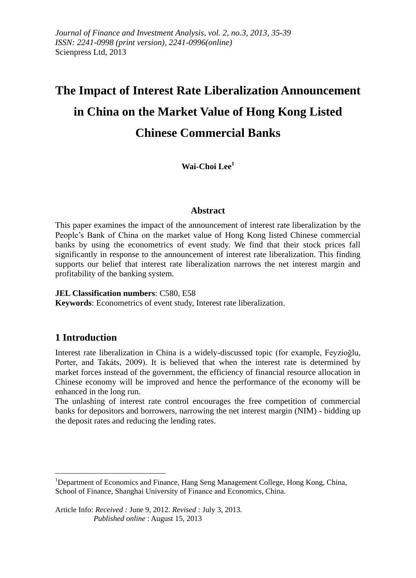# **The Impact of Interest Rate Liberalization Announcement in China on the Market Value of Hong Kong Listed Chinese Commercial Banks**

**Wai-Choi Lee<sup>1</sup>**

# **Abstract**

This paper examines the impact of the announcement of interest rate liberalization by the People's Bank of China on the market value of Hong Kong listed Chinese commercial banks by using the econometrics of event study. We find that their stock prices fall significantly in response to the announcement of interest rate liberalization. This finding supports our belief that interest rate liberalization narrows the net interest margin and profitability of the banking system.

#### **JEL Classification numbers**: C580, E58

**Keywords**: Econometrics of event study, Interest rate liberalization.

# **1 Introduction**

Interest rate liberalization in China is a widely-discussed topic (for example, Feyzioğlu, Porter, and Takáts, 2009). It is believed that when the interest rate is determined by market forces instead of the government, the efficiency of financial resource allocation in Chinese economy will be improved and hence the performance of the economy will be enhanced in the long run.

The unlashing of interest rate control encourages the free competition of commercial banks for depositors and borrowers, narrowing the net interest margin (NIM) - bidding up the deposit rates and reducing the lending rates.

<sup>&</sup>lt;sup>1</sup>Department of Economics and Finance, Hang Seng Management College, Hong Kong, China, School of Finance, Shanghai University of Finance and Economics, China.

Article Info: *Received :* June 9, 2012*. Revised :* July 3, 2013.  *Published online* : August 15, 2013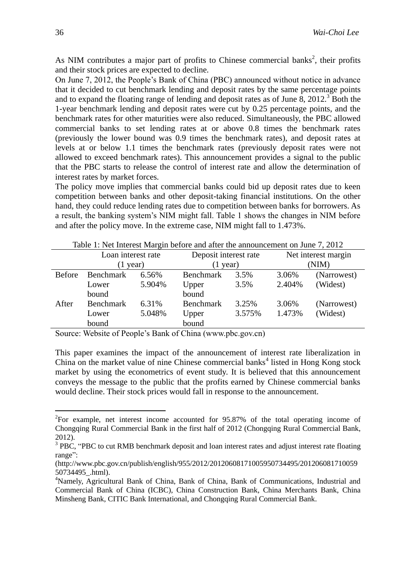As NIM contributes a major part of profits to Chinese commercial banks<sup>2</sup>, their profits and their stock prices are expected to decline.

On June 7, 2012, the People's Bank of China (PBC) announced without notice in advance that it decided to cut benchmark lending and deposit rates by the same percentage points and to expand the floating range of lending and deposit rates as of June 8,  $2012<sup>3</sup>$  Both the 1-year benchmark lending and deposit rates were cut by 0.25 percentage points, and the benchmark rates for other maturities were also reduced. Simultaneously, the PBC allowed commercial banks to set lending rates at or above 0.8 times the benchmark rates (previously the lower bound was 0.9 times the benchmark rates), and deposit rates at levels at or below 1.1 times the benchmark rates (previously deposit rates were not allowed to exceed benchmark rates). This announcement provides a signal to the public that the PBC starts to release the control of interest rate and allow the determination of interest rates by market forces.

The policy move implies that commercial banks could bid up deposit rates due to keen competition between banks and other deposit-taking financial institutions. On the other hand, they could reduce lending rates due to competition between banks for borrowers. As a result, the banking system's NIM might fall. Table 1 shows the changes in NIM before and after the policy move. In the extreme case, NIM might fall to 1.473%.

| Table 1. Two microst margin before and after the announcement on June 1, 2012 |                    |        |                       |        |                     |             |  |
|-------------------------------------------------------------------------------|--------------------|--------|-----------------------|--------|---------------------|-------------|--|
|                                                                               | Loan interest rate |        | Deposit interest rate |        | Net interest margin |             |  |
|                                                                               | $(1$ year)         |        | $(1$ year)            |        | (NIM)               |             |  |
| <b>Before</b>                                                                 | Benchmark          | 6.56%  | <b>Benchmark</b>      | 3.5%   | 3.06%               | (Narrowest) |  |
|                                                                               | Lower              | 5.904% | Upper                 | 3.5%   | 2.404%              | (Widest)    |  |
|                                                                               | bound              |        | bound                 |        |                     |             |  |
| After                                                                         | <b>Benchmark</b>   | 6.31%  | <b>Benchmark</b>      | 3.25%  | 3.06%               | (Narrowest) |  |
|                                                                               | Lower              | 5.048% | Upper                 | 3.575% | 1.473%              | (Widest)    |  |
|                                                                               | bound              |        | bound                 |        |                     |             |  |

Table 1: Net Interest Margin before and after the announcement on June 7, 2012

Source: Website of People's Bank of China (www.pbc.gov.cn)

This paper examines the impact of the announcement of interest rate liberalization in China on the market value of nine Chinese commercial banks<sup>4</sup> listed in Hong Kong stock market by using the econometrics of event study. It is believed that this announcement conveys the message to the public that the profits earned by Chinese commercial banks would decline. Their stock prices would fall in response to the announcement.

1

 ${}^{2}$ For example, net interest income accounted for 95.87% of the total operating income of Chongqing Rural Commercial Bank in the first half of 2012 (Chongqing Rural Commercial Bank, 2012).

 $3$  PBC, "PBC to cut RMB benchmark deposit and loan interest rates and adjust interest rate floating range":

<sup>(</sup>http://www.pbc.gov.cn/publish/english/955/2012/20120608171005950734495/201206081710059 50734495\_.html).

<sup>&</sup>lt;sup>4</sup>Namely, Agricultural Bank of China, Bank of China, Bank of Communications, Industrial and Commercial Bank of China (ICBC), China Construction Bank, China Merchants Bank, China Minsheng Bank, CITIC Bank International, and Chongqing Rural Commercial Bank.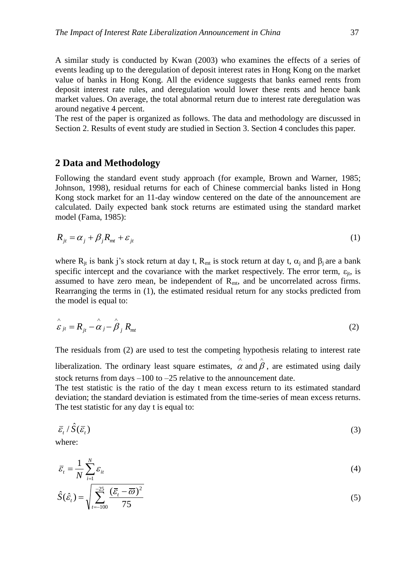A similar study is conducted by Kwan (2003) who examines the effects of a series of events leading up to the deregulation of deposit interest rates in Hong Kong on the market value of banks in Hong Kong. All the evidence suggests that banks earned rents from deposit interest rate rules, and deregulation would lower these rents and hence bank market values. On average, the total abnormal return due to interest rate deregulation was around negative 4 percent.

The rest of the paper is organized as follows. The data and methodology are discussed in Section 2. Results of event study are studied in Section 3. Section 4 concludes this paper.

#### **2 Data and Methodology**

Following the standard event study approach (for example, Brown and Warner, 1985; Johnson, 1998), residual returns for each of Chinese commercial banks listed in Hong Kong stock market for an 11-day window centered on the date of the announcement are calculated. Daily expected bank stock returns are estimated using the standard market model (Fama, 1985):

$$
R_{jt} = \alpha_j + \beta_j R_{mt} + \varepsilon_{jt} \tag{1}
$$

where  $R_{jt}$  is bank j's stock return at day t,  $R_{mt}$  is stock return at day t,  $\alpha_i$  and  $\beta_i$  are a bank specific intercept and the covariance with the market respectively. The error term,  $\varepsilon_{it}$ , is assumed to have zero mean, be independent of  $R_{mt}$ , and be uncorrelated across firms. Rearranging the terms in (1), the estimated residual return for any stocks predicted from the model is equal to:

$$
\hat{\varepsilon}_{jt} = R_{jt} - \hat{\alpha}_j - \hat{\beta}_j R_{mt}
$$
\n(2)

The residuals from (2) are used to test the competing hypothesis relating to interest rate liberalization. The ordinary least square estimates,  $\hat{\alpha}$  $\hat{\alpha}$  and  $\hat{\beta}$ , are estimated using daily

stock returns from days –100 to –25 relative to the announcement date. The test statistic is the ratio of the day t mean excess return to its estimated standard deviation; the standard deviation is estimated from the time-series of mean excess returns. The test statistic for any day t is equal to:

$$
\bar{\varepsilon}_t / \hat{S}(\bar{\varepsilon}_t) \tag{3}
$$

where:

$$
\overline{\varepsilon}_{t} = \frac{1}{N} \sum_{i=1}^{N} \varepsilon_{it}
$$
\n
$$
(4)
$$

$$
\hat{S}(\hat{\varepsilon}_t) = \sqrt{\sum_{t=100}^{-25} \frac{(\bar{\varepsilon}_t - \overline{\omega})^2}{75}}
$$
\n
$$
(5)
$$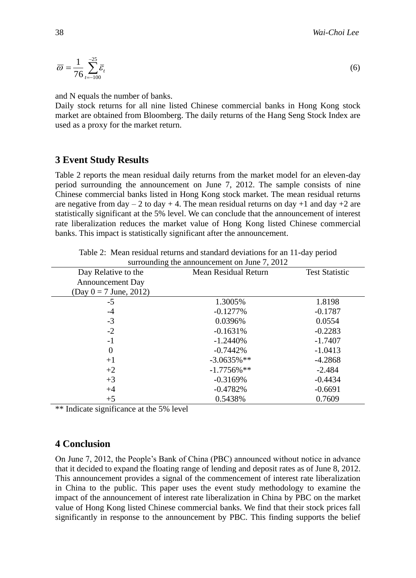$$
\overline{\omega} = \frac{1}{76} \sum_{t=-100}^{-25} \overline{\varepsilon}_t \tag{6}
$$

and N equals the number of banks.

Daily stock returns for all nine listed Chinese commercial banks in Hong Kong stock market are obtained from Bloomberg. The daily returns of the Hang Seng Stock Index are used as a proxy for the market return.

# **3 Event Study Results**

Table 2 reports the mean residual daily returns from the market model for an eleven-day period surrounding the announcement on June 7, 2012. The sample consists of nine Chinese commercial banks listed in Hong Kong stock market. The mean residual returns are negative from day  $-2$  to day  $+4$ . The mean residual returns on day  $+1$  and day  $+2$  are statistically significant at the 5% level. We can conclude that the announcement of interest rate liberalization reduces the market value of Hong Kong listed Chinese commercial banks. This impact is statistically significant after the announcement.

| Day Relative to the      | <b>Mean Residual Return</b> | <b>Test Statistic</b> |
|--------------------------|-----------------------------|-----------------------|
| <b>Announcement Day</b>  |                             |                       |
| $(Day 0 = 7$ June, 2012) |                             |                       |
| $-5$                     | 1.3005%                     | 1.8198                |
| $-4$                     | $-0.1277\%$                 | $-0.1787$             |
| $-3$                     | 0.0396%                     | 0.0554                |
| $-2$                     | $-0.1631%$                  | $-0.2283$             |
| $-1$                     | $-1.2440%$                  | $-1.7407$             |
| $\boldsymbol{0}$         | $-0.7442\%$                 | $-1.0413$             |
| $+1$                     | $-3.0635%$ **               | $-4.2868$             |
| $+2$                     | $-1.7756\%$ **              | $-2.484$              |
| $+3$                     | $-0.3169%$                  | $-0.4434$             |
| $+4$                     | $-0.4782%$                  | $-0.6691$             |
| $+5$                     | 0.5438%                     | 0.7609                |

Table 2: Mean residual returns and standard deviations for an 11-day period surrounding the announcement on June 7, 2012

\*\* Indicate significance at the 5% level

### **4 Conclusion**

On June 7, 2012, the People's Bank of China (PBC) announced without notice in advance that it decided to expand the floating range of lending and deposit rates as of June 8, 2012. This announcement provides a signal of the commencement of interest rate liberalization in China to the public. This paper uses the event study methodology to examine the impact of the announcement of interest rate liberalization in China by PBC on the market value of Hong Kong listed Chinese commercial banks. We find that their stock prices fall significantly in response to the announcement by PBC. This finding supports the belief